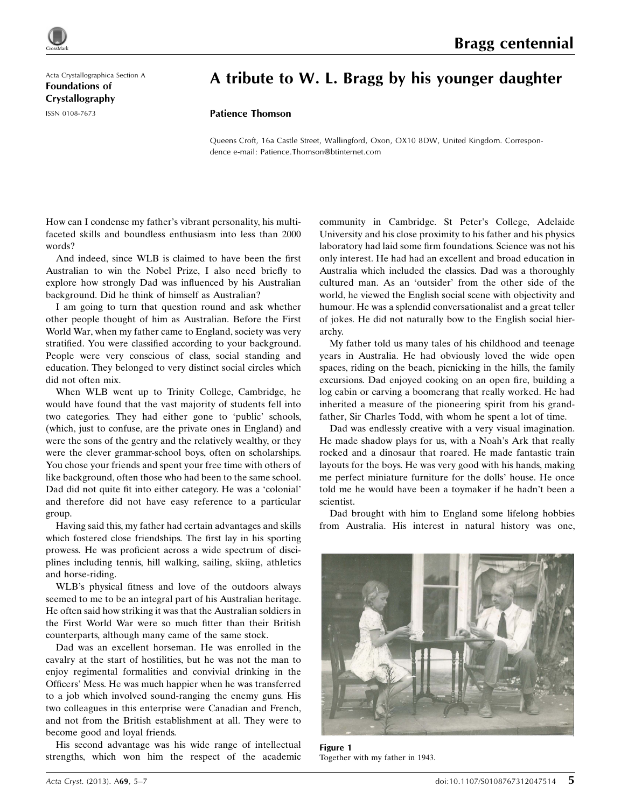Acta Crystallographica Section A Foundations of Crystallography ISSN 0108-7673

## A tribute to W. L. Bragg by his younger daughter

## Patience Thomson

Queens Croft, 16a Castle Street, Wallingford, Oxon, OX10 8DW, United Kingdom. Correspondence e-mail: Patience.Thomson@btinternet.com

How can I condense my father's vibrant personality, his multifaceted skills and boundless enthusiasm into less than 2000 words?

And indeed, since WLB is claimed to have been the first Australian to win the Nobel Prize, I also need briefly to explore how strongly Dad was influenced by his Australian background. Did he think of himself as Australian?

I am going to turn that question round and ask whether other people thought of him as Australian. Before the First World War, when my father came to England, society was very stratified. You were classified according to your background. People were very conscious of class, social standing and education. They belonged to very distinct social circles which did not often mix.

When WLB went up to Trinity College, Cambridge, he would have found that the vast majority of students fell into two categories. They had either gone to 'public' schools, (which, just to confuse, are the private ones in England) and were the sons of the gentry and the relatively wealthy, or they were the clever grammar-school boys, often on scholarships. You chose your friends and spent your free time with others of like background, often those who had been to the same school. Dad did not quite fit into either category. He was a 'colonial' and therefore did not have easy reference to a particular group.

Having said this, my father had certain advantages and skills which fostered close friendships. The first lay in his sporting prowess. He was proficient across a wide spectrum of disciplines including tennis, hill walking, sailing, skiing, athletics and horse-riding.

WLB's physical fitness and love of the outdoors always seemed to me to be an integral part of his Australian heritage. He often said how striking it was that the Australian soldiers in the First World War were so much fitter than their British counterparts, although many came of the same stock.

Dad was an excellent horseman. He was enrolled in the cavalry at the start of hostilities, but he was not the man to enjoy regimental formalities and convivial drinking in the Officers' Mess. He was much happier when he was transferred to a job which involved sound-ranging the enemy guns. His two colleagues in this enterprise were Canadian and French, and not from the British establishment at all. They were to become good and loyal friends.

His second advantage was his wide range of intellectual strengths, which won him the respect of the academic community in Cambridge. St Peter's College, Adelaide University and his close proximity to his father and his physics laboratory had laid some firm foundations. Science was not his only interest. He had had an excellent and broad education in Australia which included the classics. Dad was a thoroughly cultured man. As an 'outsider' from the other side of the world, he viewed the English social scene with objectivity and humour. He was a splendid conversationalist and a great teller of jokes. He did not naturally bow to the English social hierarchy.

My father told us many tales of his childhood and teenage years in Australia. He had obviously loved the wide open spaces, riding on the beach, picnicking in the hills, the family excursions. Dad enjoyed cooking on an open fire, building a log cabin or carving a boomerang that really worked. He had inherited a measure of the pioneering spirit from his grandfather, Sir Charles Todd, with whom he spent a lot of time.

Dad was endlessly creative with a very visual imagination. He made shadow plays for us, with a Noah's Ark that really rocked and a dinosaur that roared. He made fantastic train layouts for the boys. He was very good with his hands, making me perfect miniature furniture for the dolls' house. He once told me he would have been a toymaker if he hadn't been a scientist.

Dad brought with him to England some lifelong hobbies from Australia. His interest in natural history was one,



Figure 1 Together with my father in 1943.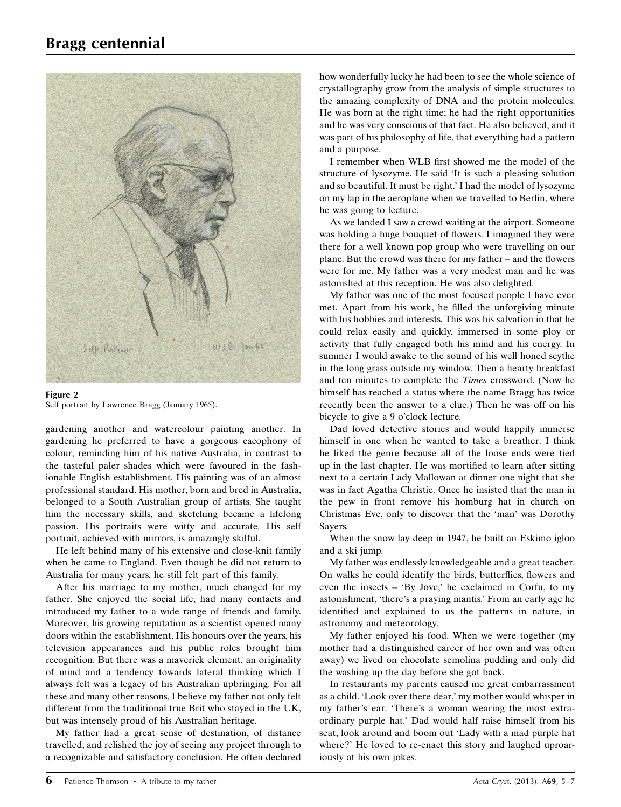

Figure 2 Self portrait by Lawrence Bragg (January 1965).

gardening another and watercolour painting another. In gardening he preferred to have a gorgeous cacophony of colour, reminding him of his native Australia, in contrast to the tasteful paler shades which were favoured in the fashionable English establishment. His painting was of an almost professional standard. His mother, born and bred in Australia, belonged to a South Australian group of artists. She taught him the necessary skills, and sketching became a lifelong passion. His portraits were witty and accurate. His self portrait, achieved with mirrors, is amazingly skilful.

He left behind many of his extensive and close-knit family when he came to England. Even though he did not return to Australia for many years, he still felt part of this family.

After his marriage to my mother, much changed for my father. She enjoyed the social life, had many contacts and introduced my father to a wide range of friends and family. Moreover, his growing reputation as a scientist opened many doors within the establishment. His honours over the years, his television appearances and his public roles brought him recognition. But there was a maverick element, an originality of mind and a tendency towards lateral thinking which I always felt was a legacy of his Australian upbringing. For all these and many other reasons, I believe my father not only felt different from the traditional true Brit who stayed in the UK, but was intensely proud of his Australian heritage.

My father had a great sense of destination, of distance travelled, and relished the joy of seeing any project through to a recognizable and satisfactory conclusion. He often declared how wonderfully lucky he had been to see the whole science of crystallography grow from the analysis of simple structures to the amazing complexity of DNA and the protein molecules. He was born at the right time; he had the right opportunities and he was very conscious of that fact. He also believed, and it was part of his philosophy of life, that everything had a pattern and a purpose.

I remember when WLB first showed me the model of the structure of lysozyme. He said 'It is such a pleasing solution and so beautiful. It must be right.' I had the model of lysozyme on my lap in the aeroplane when we travelled to Berlin, where he was going to lecture.

As we landed I saw a crowd waiting at the airport. Someone was holding a huge bouquet of flowers. I imagined they were there for a well known pop group who were travelling on our plane. But the crowd was there for my father – and the flowers were for me. My father was a very modest man and he was astonished at this reception. He was also delighted.

My father was one of the most focused people I have ever met. Apart from his work, he filled the unforgiving minute with his hobbies and interests. This was his salvation in that he could relax easily and quickly, immersed in some ploy or activity that fully engaged both his mind and his energy. In summer I would awake to the sound of his well honed scythe in the long grass outside my window. Then a hearty breakfast and ten minutes to complete the Times crossword. (Now he himself has reached a status where the name Bragg has twice recently been the answer to a clue.) Then he was off on his bicycle to give a 9 o'clock lecture.

Dad loved detective stories and would happily immerse himself in one when he wanted to take a breather. I think he liked the genre because all of the loose ends were tied up in the last chapter. He was mortified to learn after sitting next to a certain Lady Mallowan at dinner one night that she was in fact Agatha Christie. Once he insisted that the man in the pew in front remove his homburg hat in church on Christmas Eve, only to discover that the 'man' was Dorothy Sayers.

When the snow lay deep in 1947, he built an Eskimo igloo and a ski jump.

My father was endlessly knowledgeable and a great teacher. On walks he could identify the birds, butterflies, flowers and even the insects – 'By Jove,' he exclaimed in Corfu, to my astonishment, 'there's a praying mantis.' From an early age he identified and explained to us the patterns in nature, in astronomy and meteorology.

My father enjoyed his food. When we were together (my mother had a distinguished career of her own and was often away) we lived on chocolate semolina pudding and only did the washing up the day before she got back.

In restaurants my parents caused me great embarrassment as a child. 'Look over there dear,' my mother would whisper in my father's ear. 'There's a woman wearing the most extraordinary purple hat.' Dad would half raise himself from his seat, look around and boom out 'Lady with a mad purple hat where?' He loved to re-enact this story and laughed uproariously at his own jokes.